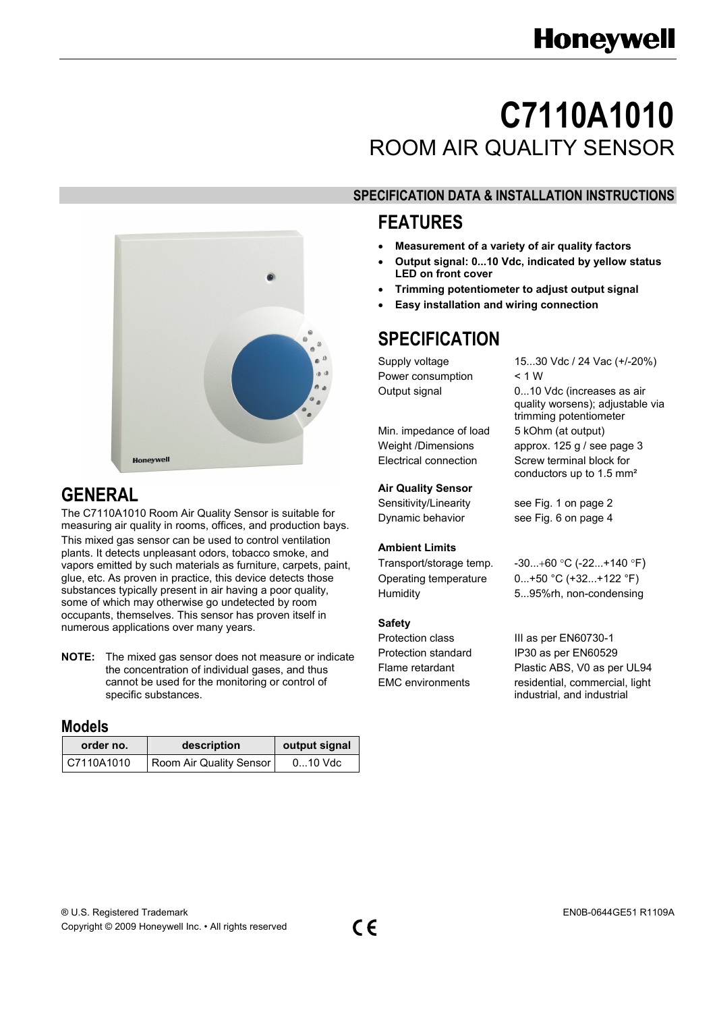# **C7110A1010**  ROOM AIR QUALITY SENSOR

# **SPECIFICATION DATA & INSTALLATION INSTRUCTIONS**

## **FEATURES**

- **Measurement of a variety of air quality factors**
- **Output signal: 0...10 Vdc, indicated by yellow status LED on front cover**
- **Trimming potentiometer to adjust output signal**
- **Easy installation and wiring connection**

# **SPECIFICATION**

Power consumption < 1 W

Min. impedance of load 5 kOhm (at output)

#### **Air Quality Sensor**

#### **Ambient Limits**

#### **Safety**

Supply voltage 15...30 Vdc / 24 Vac (+/-20%) Output signal 0...10 Vdc (increases as air quality worsens); adjustable via trimming potentiometer Weight /Dimensions approx. 125 g / see page 3 Electrical connection Screw terminal block for conductors up to 1.5 mm²

Sensitivity/Linearity see Fig. 1 on page 2 Dynamic behavior see Fig. 6 on page 4

#### Transport/storage temp.  $-30...+60$  °C (-22...+140 °F) Operating temperature 0...+50 °C (+32...+122 °F) Humidity 5...95%rh, non-condensing

Protection class III as per EN60730-1 Protection standard IP30 as per EN60529 Flame retardant Plastic ABS, V0 as per UL94 EMC environments residential, commercial, light industrial, and industrial



# **GENERAL**

The C7110A1010 Room Air Quality Sensor is suitable for measuring air quality in rooms, offices, and production bays. This mixed gas sensor can be used to control ventilation plants. It detects unpleasant odors, tobacco smoke, and vapors emitted by such materials as furniture, carpets, paint, glue, etc. As proven in practice, this device detects those substances typically present in air having a poor quality, some of which may otherwise go undetected by room occupants, themselves. This sensor has proven itself in numerous applications over many years.

**NOTE:** The mixed gas sensor does not measure or indicate the concentration of individual gases, and thus cannot be used for the monitoring or control of specific substances.

### **Models**

| order no.  | description             | output signal |
|------------|-------------------------|---------------|
| C7110A1010 | Room Air Quality Sensor | $010$ Vdc     |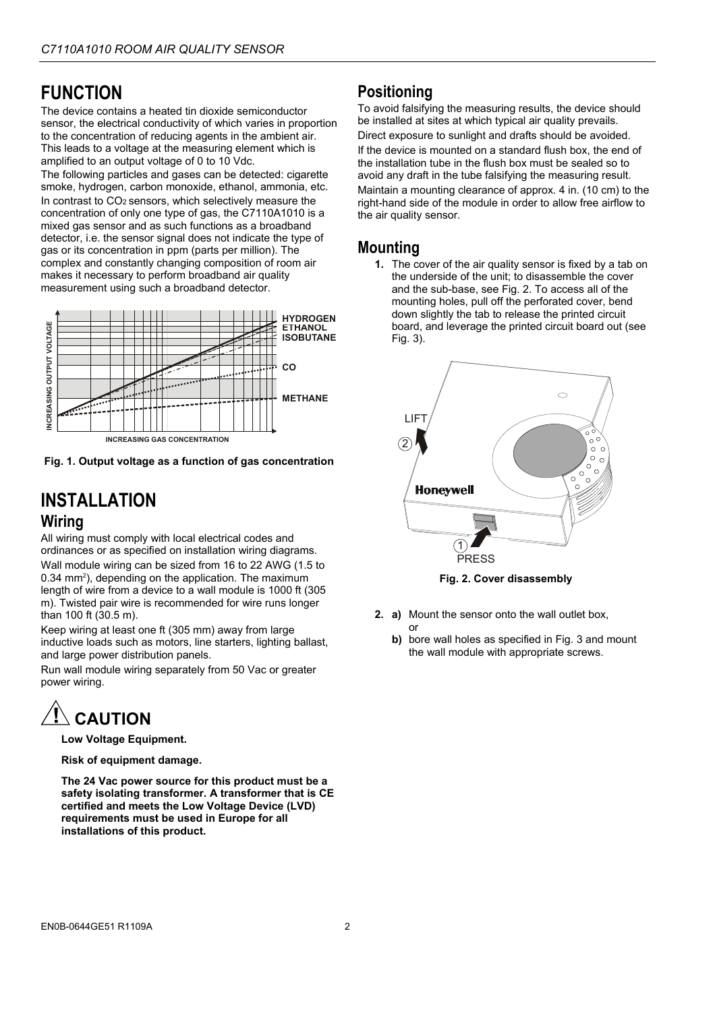# **FUNCTION**

The device contains a heated tin dioxide semiconductor sensor, the electrical conductivity of which varies in proportion to the concentration of reducing agents in the ambient air. This leads to a voltage at the measuring element which is amplified to an output voltage of 0 to 10 Vdc.

The following particles and gases can be detected: cigarette smoke, hydrogen, carbon monoxide, ethanol, ammonia, etc. In contrast to CO2 sensors, which selectively measure the concentration of only one type of gas, the C7110A1010 is a mixed gas sensor and as such functions as a broadband detector, i.e. the sensor signal does not indicate the type of gas or its concentration in ppm (parts per million). The complex and constantly changing composition of room air makes it necessary to perform broadband air quality measurement using such a broadband detector.



**Fig. 1. Output voltage as a function of gas concentration** 

## **INSTALLATION Wiring**

All wiring must comply with local electrical codes and ordinances or as specified on installation wiring diagrams.

Wall module wiring can be sized from 16 to 22 AWG (1.5 to 0.34 mm<sup>2</sup>), depending on the application. The maximum length of wire from a device to a wall module is 1000 ft (305 m). Twisted pair wire is recommended for wire runs longer than 100 ft (30.5 m).

Keep wiring at least one ft (305 mm) away from large inductive loads such as motors, line starters, lighting ballast, and large power distribution panels.

Run wall module wiring separately from 50 Vac or greater power wiring.

# **CAUTION**

**Low Voltage Equipment.** 

**Risk of equipment damage.** 

**The 24 Vac power source for this product must be a safety isolating transformer. A transformer that is CE certified and meets the Low Voltage Device (LVD) requirements must be used in Europe for all installations of this product.** 

### **Positioning**

To avoid falsifying the measuring results, the device should be installed at sites at which typical air quality prevails.

Direct exposure to sunlight and drafts should be avoided. If the device is mounted on a standard flush box, the end of the installation tube in the flush box must be sealed so to avoid any draft in the tube falsifying the measuring result.

Maintain a mounting clearance of approx. 4 in. (10 cm) to the right-hand side of the module in order to allow free airflow to the air quality sensor.

### **Mounting**

**1.** The cover of the air quality sensor is fixed by a tab on the underside of the unit; to disassemble the cover and the sub-base, see Fig. 2. To access all of the mounting holes, pull off the perforated cover, bend down slightly the tab to release the printed circuit board, and leverage the printed circuit board out (see Fig. 3).



**Fig. 2. Cover disassembly** 

**2. a)** Mount the sensor onto the wall outlet box,

or

**b)** bore wall holes as specified in Fig. 3 and mount the wall module with appropriate screws.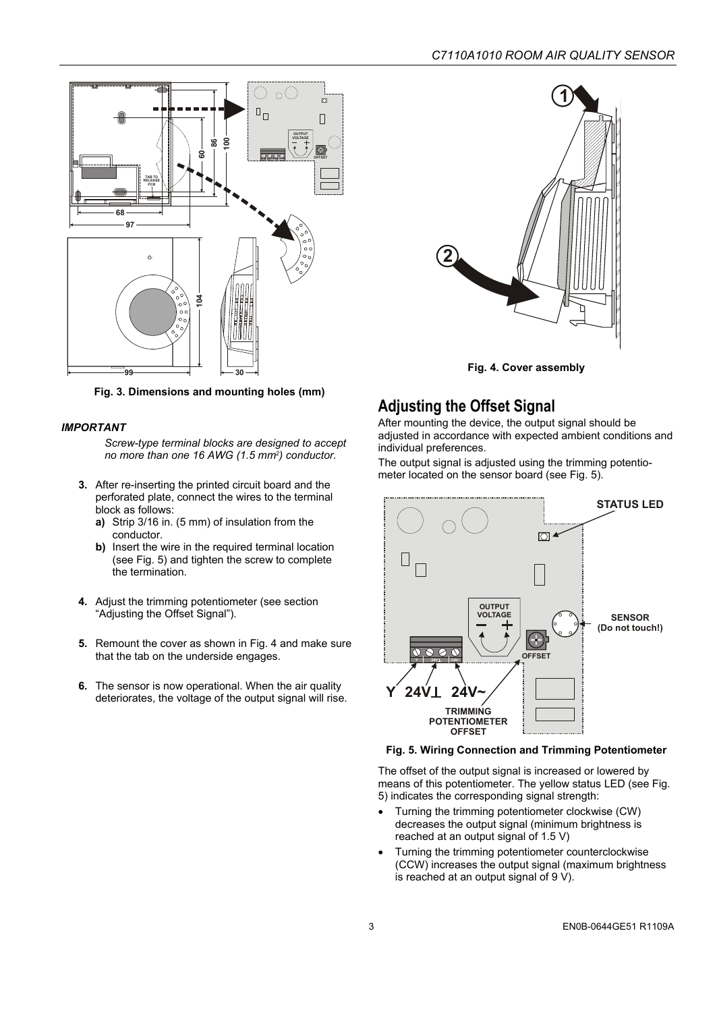

**Fig. 3. Dimensions and mounting holes (mm)** 

#### *IMPORTANT*

*Screw-type terminal blocks are designed to accept no more than one 16 AWG (1.5 mm2) conductor.* 

- **3.** After re-inserting the printed circuit board and the perforated plate, connect the wires to the terminal block as follows:
	- **a)** Strip 3/16 in. (5 mm) of insulation from the conductor.
	- **b)** Insert the wire in the required terminal location (see Fig. 5) and tighten the screw to complete the termination.
- **4.** Adjust the trimming potentiometer (see section "Adjusting the Offset Signal").
- **5.** Remount the cover as shown in Fig. 4 and make sure that the tab on the underside engages.
- **6.** The sensor is now operational. When the air quality deteriorates, the voltage of the output signal will rise.



**Fig. 4. Cover assembly** 

### **Adjusting the Offset Signal**

After mounting the device, the output signal should be adjusted in accordance with expected ambient conditions and individual preferences.

The output signal is adjusted using the trimming potentiometer located on the sensor board (see Fig. 5).



#### **Fig. 5. Wiring Connection and Trimming Potentiometer**

The offset of the output signal is increased or lowered by means of this potentiometer. The yellow status LED (see Fig. 5) indicates the corresponding signal strength:

- Turning the trimming potentiometer clockwise (CW) decreases the output signal (minimum brightness is reached at an output signal of 1.5 V)
- Turning the trimming potentiometer counterclockwise (CCW) increases the output signal (maximum brightness is reached at an output signal of 9 V).